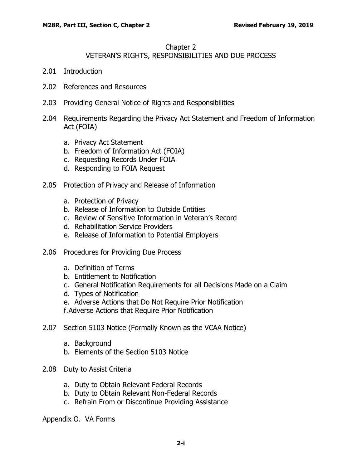#### Chapter 2

# VETERAN'S RIGHTS, RESPONSIBILITIES AND DUE PROCESS

- 2.01 [Introduction](#page-1-0)
- 2.02 [References and Resources](#page-1-1)
- 2.03 [Providing General Notice of Rights and Responsibilities](#page-2-0)
- 2.04 [Requirements Regarding the Privacy Act Statement and Freedom of Information](#page-3-0)  [Act \(FOIA\)](#page-3-0)
	- a. [Privacy Act Statement](#page-3-1)
	- b. [Freedom of Information Act \(FOIA\)](#page-3-2)
	- c. [Requesting Records Under FOIA](#page-3-3)
	- d. [Responding to FOIA Request](#page-4-0)
- 2.05 [Protection of Privacy and Release of Information](#page-4-1)
	- a. [Protection of Privacy](#page-4-2)
	- b. [Release of Information to Outside Entities](#page-4-3)
	- c. [Review of Sensitive Information in Veteran's Record](#page-5-0)
	- d. [Rehabilitation Service Providers](#page-6-0)
	- e. [Release of Information to Potential Employers](#page-6-1)
- 2.06 [Procedures for Providing Due Process](#page-6-2)
	- a. [Definition of Terms](#page-6-3)
	- b. [Entitlement to Notification](#page-6-4)
	- c. [General Notification Requirements for all Decisions Made on a Claim](#page-7-0)
	- d. [Types of Notification](#page-8-0)
	- e. [Adverse Actions that Do Not Require Prior Notification](#page-8-1)

[f.Adverse Actions that Require Prior Notification](#page-9-0)

- 2.07 [Section 5103 Notice \(Formally Known as the VCAA Notice\)](#page-11-0)
	- a. [Background](#page-11-1)
	- b. [Elements of the Section 5103 Notice](#page-12-0)
- 2.08 [Duty to Assist Criteria](#page-12-1)
	- a. [Duty to Obtain Relevant Federal Records](#page-12-2)
	- b. [Duty to Obtain Relevant Non-Federal Records](#page-13-0)
	- c. [Refrain From or Discontinue Providing Assistance](#page-13-1)

Appendix O. VA Forms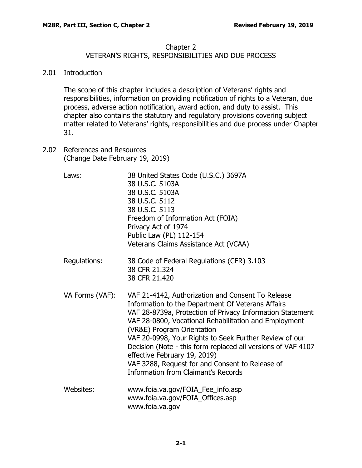#### Chapter 2

## VETERAN'S RIGHTS, RESPONSIBILITIES AND DUE PROCESS

### <span id="page-1-0"></span>2.01 Introduction

The scope of this chapter includes a description of Veterans' rights and responsibilities, information on providing notification of rights to a Veteran, due process, adverse action notification, award action, and duty to assist. This chapter also contains the statutory and regulatory provisions covering subject matter related to Veterans' rights, responsibilities and due process under Chapter 31.

<span id="page-1-1"></span>2.02 References and Resources (Change Date February 19, 2019)

| Laws:           | 38 United States Code (U.S.C.) 3697A<br>38 U.S.C. 5103A<br>38 U.S.C. 5103A<br>38 U.S.C. 5112<br>38 U.S.C. 5113<br>Freedom of Information Act (FOIA)<br>Privacy Act of 1974<br>Public Law (PL) 112-154<br>Veterans Claims Assistance Act (VCAA)                                                                                                                                                                                                                                                                        |
|-----------------|-----------------------------------------------------------------------------------------------------------------------------------------------------------------------------------------------------------------------------------------------------------------------------------------------------------------------------------------------------------------------------------------------------------------------------------------------------------------------------------------------------------------------|
| Regulations:    | 38 Code of Federal Regulations (CFR) 3.103<br>38 CFR 21.324<br>38 CFR 21.420                                                                                                                                                                                                                                                                                                                                                                                                                                          |
| VA Forms (VAF): | VAF 21-4142, Authorization and Consent To Release<br>Information to the Department Of Veterans Affairs<br>VAF 28-8739a, Protection of Privacy Information Statement<br>VAF 28-0800, Vocational Rehabilitation and Employment<br>(VR&E) Program Orientation<br>VAF 20-0998, Your Rights to Seek Further Review of our<br>Decision (Note - this form replaced all versions of VAF 4107<br>effective February 19, 2019)<br>VAF 3288, Request for and Consent to Release of<br><b>Information from Claimant's Records</b> |
| Websites:       | www.foia.va.gov/FOIA_Fee_info.asp<br>www.foia.va.gov/FOIA_Offices.asp<br>www.foia.va.gov                                                                                                                                                                                                                                                                                                                                                                                                                              |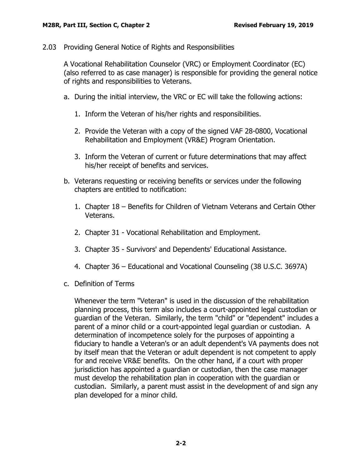<span id="page-2-0"></span>2.03 Providing General Notice of Rights and Responsibilities

A Vocational Rehabilitation Counselor (VRC) or Employment Coordinator (EC) (also referred to as case manager) is responsible for providing the general notice of rights and responsibilities to Veterans.

- a. During the initial interview, the VRC or EC will take the following actions:
	- 1. Inform the Veteran of his/her rights and responsibilities.
	- 2. Provide the Veteran with a copy of the signed VAF 28-0800, Vocational Rehabilitation and Employment (VR&E) Program Orientation.
	- 3. Inform the Veteran of current or future determinations that may affect his/her receipt of benefits and services.
- b. Veterans requesting or receiving benefits or services under the following chapters are entitled to notification:
	- 1. Chapter 18 Benefits for Children of Vietnam Veterans and Certain Other Veterans.
	- 2. Chapter 31 Vocational Rehabilitation and Employment.
	- 3. Chapter 35 Survivors' and Dependents' Educational Assistance.
	- 4. Chapter 36 Educational and Vocational Counseling (38 U.S.C. 3697A)
- c. Definition of Terms

Whenever the term "Veteran" is used in the discussion of the rehabilitation planning process, this term also includes a court-appointed legal custodian or guardian of the Veteran. Similarly, the term "child" or "dependent" includes a parent of a minor child or a court-appointed legal guardian or custodian. A determination of incompetence solely for the purposes of appointing a fiduciary to handle a Veteran's or an adult dependent's VA payments does not by itself mean that the Veteran or adult dependent is not competent to apply for and receive VR&E benefits. On the other hand, if a court with proper jurisdiction has appointed a guardian or custodian, then the case manager must develop the rehabilitation plan in cooperation with the guardian or custodian. Similarly, a parent must assist in the development of and sign any plan developed for a minor child.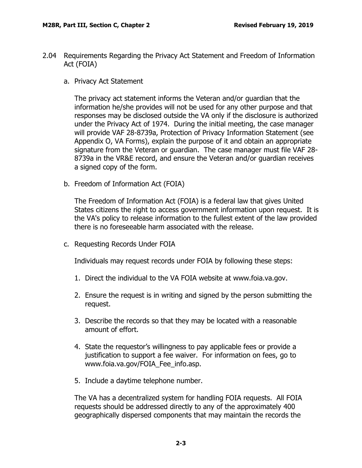- <span id="page-3-1"></span><span id="page-3-0"></span>2.04 Requirements Regarding the Privacy Act Statement and Freedom of Information Act (FOIA)
	- a. Privacy Act Statement

The privacy act statement informs the Veteran and/or guardian that the information he/she provides will not be used for any other purpose and that responses may be disclosed outside the VA only if the disclosure is authorized under the Privacy Act of 1974. During the initial meeting, the case manager will provide VAF 28-8739a, Protection of Privacy Information Statement (see Appendix O, VA Forms), explain the purpose of it and obtain an appropriate signature from the Veteran or guardian. The case manager must file VAF 28- 8739a in the VR&E record, and ensure the Veteran and/or guardian receives a signed copy of the form.

<span id="page-3-2"></span>b. Freedom of Information Act (FOIA)

The Freedom of Information Act (FOIA) is a federal law that gives United States citizens the right to access government information upon request. It is the VA's policy to release information to the fullest extent of the law provided there is no foreseeable harm associated with the release.

<span id="page-3-3"></span>c. Requesting Records Under FOIA

Individuals may request records under FOIA by following these steps:

- 1. Direct the individual to the VA FOIA website at www.foia.va.gov.
- 2. Ensure the request is in writing and signed by the person submitting the request.
- 3. Describe the records so that they may be located with a reasonable amount of effort.
- 4. State the requestor's willingness to pay applicable fees or provide a justification to support a fee waiver. For information on fees, go to www.foia.va.gov/FOIA\_Fee\_info.asp.
- 5. Include a daytime telephone number.

The VA has a decentralized system for handling FOIA requests. All FOIA requests should be addressed directly to any of the approximately 400 geographically dispersed components that may maintain the records the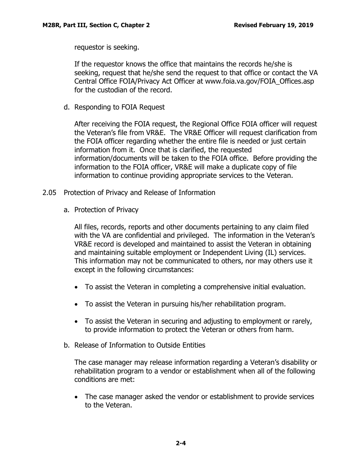requestor is seeking.

If the requestor knows the office that maintains the records he/she is seeking, request that he/she send the request to that office or contact the VA Central Office FOIA/Privacy Act Officer at www.foia.va.gov/FOIA\_Offices.asp for the custodian of the record.

<span id="page-4-0"></span>d. Responding to FOIA Request

After receiving the FOIA request, the Regional Office FOIA officer will request the Veteran's file from VR&E. The VR&E Officer will request clarification from the FOIA officer regarding whether the entire file is needed or just certain information from it. Once that is clarified, the requested information/documents will be taken to the FOIA office. Before providing the information to the FOIA officer, VR&E will make a duplicate copy of file information to continue providing appropriate services to the Veteran.

- <span id="page-4-2"></span><span id="page-4-1"></span>2.05 Protection of Privacy and Release of Information
	- a. Protection of Privacy

All files, records, reports and other documents pertaining to any claim filed with the VA are confidential and privileged. The information in the Veteran's VR&E record is developed and maintained to assist the Veteran in obtaining and maintaining suitable employment or Independent Living (IL) services. This information may not be communicated to others, nor may others use it except in the following circumstances:

- To assist the Veteran in completing a comprehensive initial evaluation.
- To assist the Veteran in pursuing his/her rehabilitation program.
- To assist the Veteran in securing and adjusting to employment or rarely, to provide information to protect the Veteran or others from harm.
- <span id="page-4-3"></span>b. Release of Information to Outside Entities

The case manager may release information regarding a Veteran's disability or rehabilitation program to a vendor or establishment when all of the following conditions are met:

• The case manager asked the vendor or establishment to provide services to the Veteran.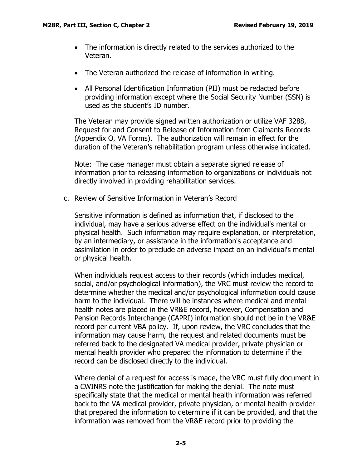- The information is directly related to the services authorized to the Veteran.
- The Veteran authorized the release of information in writing.
- All Personal Identification Information (PII) must be redacted before providing information except where the Social Security Number (SSN) is used as the student's ID number.

The Veteran may provide signed written authorization or utilize VAF 3288, Request for and Consent to Release of Information from Claimants Records (Appendix O, VA Forms). The authorization will remain in effect for the duration of the Veteran's rehabilitation program unless otherwise indicated.

Note: The case manager must obtain a separate signed release of information prior to releasing information to organizations or individuals not directly involved in providing rehabilitation services.

<span id="page-5-0"></span>c. Review of Sensitive Information in Veteran's Record

Sensitive information is defined as information that, if disclosed to the individual, may have a serious adverse effect on the individual's mental or physical health. Such information may require explanation, or interpretation, by an intermediary, or assistance in the information's acceptance and assimilation in order to preclude an adverse impact on an individual's mental or physical health.

When individuals request access to their records (which includes medical, social, and/or psychological information), the VRC must review the record to determine whether the medical and/or psychological information could cause harm to the individual. There will be instances where medical and mental health notes are placed in the VR&E record, however, Compensation and Pension Records Interchange (CAPRI) information should not be in the VR&E record per current VBA policy. If, upon review, the VRC concludes that the information may cause harm, the request and related documents must be referred back to the designated VA medical provider, private physician or mental health provider who prepared the information to determine if the record can be disclosed directly to the individual.

Where denial of a request for access is made, the VRC must fully document in a CWINRS note the justification for making the denial. The note must specifically state that the medical or mental health information was referred back to the VA medical provider, private physician, or mental health provider that prepared the information to determine if it can be provided, and that the information was removed from the VR&E record prior to providing the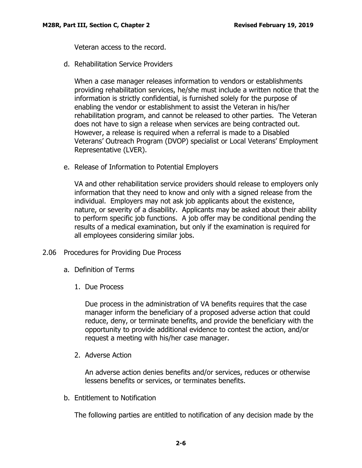Veteran access to the record.

<span id="page-6-0"></span>d. Rehabilitation Service Providers

When a case manager releases information to vendors or establishments providing rehabilitation services, he/she must include a written notice that the information is strictly confidential, is furnished solely for the purpose of enabling the vendor or establishment to assist the Veteran in his/her rehabilitation program, and cannot be released to other parties. The Veteran does not have to sign a release when services are being contracted out. However, a release is required when a referral is made to a Disabled Veterans' Outreach Program (DVOP) specialist or Local Veterans' Employment Representative (LVER).

<span id="page-6-1"></span>e. Release of Information to Potential Employers

VA and other rehabilitation service providers should release to employers only information that they need to know and only with a signed release from the individual. Employers may not ask job applicants about the existence, nature, or severity of a disability. Applicants may be asked about their ability to perform specific job functions. A job offer may be conditional pending the results of a medical examination, but only if the examination is required for all employees considering similar jobs.

- <span id="page-6-3"></span><span id="page-6-2"></span>2.06 Procedures for Providing Due Process
	- a. Definition of Terms
		- 1. Due Process

Due process in the administration of VA benefits requires that the case manager inform the beneficiary of a proposed adverse action that could reduce, deny, or terminate benefits, and provide the beneficiary with the opportunity to provide additional evidence to contest the action, and/or request a meeting with his/her case manager.

2. Adverse Action

An adverse action denies benefits and/or services, reduces or otherwise lessens benefits or services, or terminates benefits.

<span id="page-6-4"></span>b. Entitlement to Notification

The following parties are entitled to notification of any decision made by the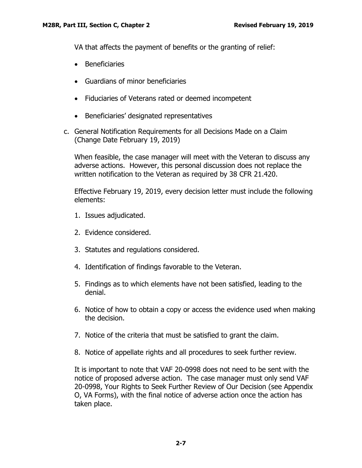VA that affects the payment of benefits or the granting of relief:

- Beneficiaries
- Guardians of minor beneficiaries
- Fiduciaries of Veterans rated or deemed incompetent
- Beneficiaries' designated representatives
- <span id="page-7-0"></span>c. General Notification Requirements for all Decisions Made on a Claim (Change Date February 19, 2019)

When feasible, the case manager will meet with the Veteran to discuss any adverse actions. However, this personal discussion does not replace the written notification to the Veteran as required by 38 CFR 21.420.

Effective February 19, 2019, every decision letter must include the following elements:

- 1. Issues adjudicated.
- 2. Evidence considered.
- 3. Statutes and regulations considered.
- 4. Identification of findings favorable to the Veteran.
- 5. Findings as to which elements have not been satisfied, leading to the denial.
- 6. Notice of how to obtain a copy or access the evidence used when making the decision.
- 7. Notice of the criteria that must be satisfied to grant the claim.
- 8. Notice of appellate rights and all procedures to seek further review.

It is important to note that VAF 20-0998 does not need to be sent with the notice of proposed adverse action. The case manager must only send VAF 20-0998, Your Rights to Seek Further Review of Our Decision (see Appendix O, VA Forms), with the final notice of adverse action once the action has taken place.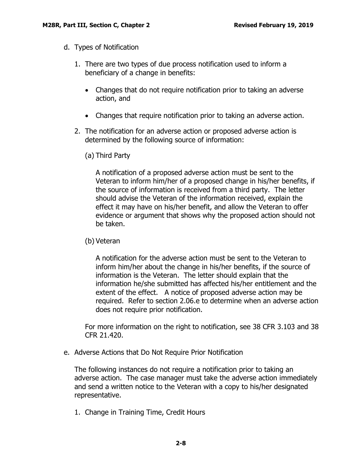- <span id="page-8-0"></span>d. Types of Notification
	- 1. There are two types of due process notification used to inform a beneficiary of a change in benefits:
		- Changes that do not require notification prior to taking an adverse action, and
		- Changes that require notification prior to taking an adverse action.
	- 2. The notification for an adverse action or proposed adverse action is determined by the following source of information:
		- (a) Third Party

A notification of a proposed adverse action must be sent to the Veteran to inform him/her of a proposed change in his/her benefits, if the source of information is received from a third party. The letter should advise the Veteran of the information received, explain the effect it may have on his/her benefit, and allow the Veteran to offer evidence or argument that shows why the proposed action should not be taken.

(b) Veteran

A notification for the adverse action must be sent to the Veteran to inform him/her about the change in his/her benefits, if the source of information is the Veteran. The letter should explain that the information he/she submitted has affected his/her entitlement and the extent of the effect. A notice of proposed adverse action may be required. Refer to section 2.06.e to determine when an adverse action does not require prior notification.

For more information on the right to notification, see 38 CFR 3.103 and 38 CFR 21.420.

<span id="page-8-1"></span>e. Adverse Actions that Do Not Require Prior Notification

The following instances do not require a notification prior to taking an adverse action. The case manager must take the adverse action immediately and send a written notice to the Veteran with a copy to his/her designated representative.

1. Change in Training Time, Credit Hours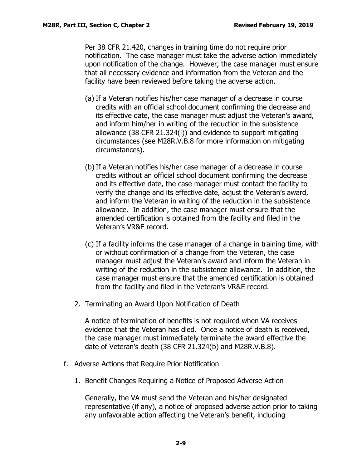Per 38 CFR 21.420, changes in training time do not require prior notification. The case manager must take the adverse action immediately upon notification of the change. However, the case manager must ensure that all necessary evidence and information from the Veteran and the facility have been reviewed before taking the adverse action.

- (a) If a Veteran notifies his/her case manager of a decrease in course credits with an official school document confirming the decrease and its effective date, the case manager must adjust the Veteran's award, and inform him/her in writing of the reduction in the subsistence allowance (38 CFR 21.324(i)) and evidence to support mitigating circumstances (see M28R.V.B.8 for more information on mitigating circumstances).
- (b)If a Veteran notifies his/her case manager of a decrease in course credits without an official school document confirming the decrease and its effective date, the case manager must contact the facility to verify the change and its effective date, adjust the Veteran's award, and inform the Veteran in writing of the reduction in the subsistence allowance. In addition, the case manager must ensure that the amended certification is obtained from the facility and filed in the Veteran's VR&E record.
- (c) If a facility informs the case manager of a change in training time, with or without confirmation of a change from the Veteran, the case manager must adjust the Veteran's award and inform the Veteran in writing of the reduction in the subsistence allowance. In addition, the case manager must ensure that the amended certification is obtained from the facility and filed in the Veteran's VR&E record.
- 2. Terminating an Award Upon Notification of Death

A notice of termination of benefits is not required when VA receives evidence that the Veteran has died. Once a notice of death is received, the case manager must immediately terminate the award effective the date of Veteran's death (38 CFR 21.324(b) and M28R.V.B.8).

- <span id="page-9-0"></span>f. Adverse Actions that Require Prior Notification
	- 1. Benefit Changes Requiring a Notice of Proposed Adverse Action

Generally, the VA must send the Veteran and his/her designated representative (if any), a notice of proposed adverse action prior to taking any unfavorable action affecting the Veteran's benefit, including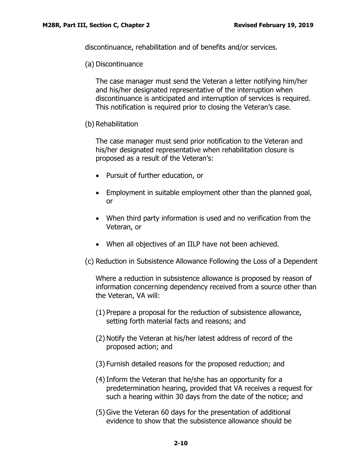discontinuance, rehabilitation and of benefits and/or services.

(a) Discontinuance

The case manager must send the Veteran a letter notifying him/her and his/her designated representative of the interruption when discontinuance is anticipated and interruption of services is required. This notification is required prior to closing the Veteran's case.

(b) Rehabilitation

The case manager must send prior notification to the Veteran and his/her designated representative when rehabilitation closure is proposed as a result of the Veteran's:

- Pursuit of further education, or
- Employment in suitable employment other than the planned goal, or
- When third party information is used and no verification from the Veteran, or
- When all objectives of an IILP have not been achieved.
- (c) Reduction in Subsistence Allowance Following the Loss of a Dependent

Where a reduction in subsistence allowance is proposed by reason of information concerning dependency received from a source other than the Veteran, VA will:

- (1) Prepare a proposal for the reduction of subsistence allowance, setting forth material facts and reasons; and
- (2) Notify the Veteran at his/her latest address of record of the proposed action; and
- (3) Furnish detailed reasons for the proposed reduction; and
- (4)Inform the Veteran that he/she has an opportunity for a predetermination hearing, provided that VA receives a request for such a hearing within 30 days from the date of the notice; and
- (5) Give the Veteran 60 days for the presentation of additional evidence to show that the subsistence allowance should be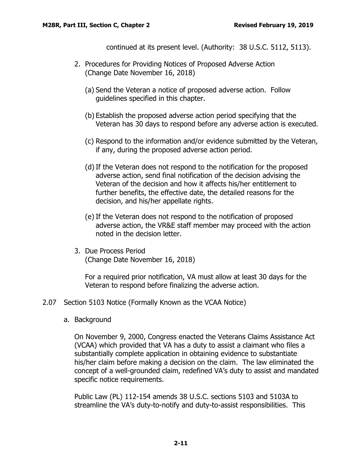continued at its present level. (Authority: 38 U.S.C. 5112, 5113).

- 2. Procedures for Providing Notices of Proposed Adverse Action (Change Date November 16, 2018)
	- (a) Send the Veteran a notice of proposed adverse action. Follow guidelines specified in this chapter.
	- (b) Establish the proposed adverse action period specifying that the Veteran has 30 days to respond before any adverse action is executed.
	- (c) Respond to the information and/or evidence submitted by the Veteran, if any, during the proposed adverse action period.
	- (d)If the Veteran does not respond to the notification for the proposed adverse action, send final notification of the decision advising the Veteran of the decision and how it affects his/her entitlement to further benefits, the effective date, the detailed reasons for the decision, and his/her appellate rights.
	- (e) If the Veteran does not respond to the notification of proposed adverse action, the VR&E staff member may proceed with the action noted in the decision letter.
- 3. Due Process Period (Change Date November 16, 2018)

For a required prior notification, VA must allow at least 30 days for the Veteran to respond before finalizing the adverse action.

- <span id="page-11-1"></span><span id="page-11-0"></span>2.07 Section 5103 Notice (Formally Known as the VCAA Notice)
	- a. Background

On November 9, 2000, Congress enacted the Veterans Claims Assistance Act (VCAA) which provided that VA has a duty to assist a claimant who files a substantially complete application in obtaining evidence to substantiate his/her claim before making a decision on the claim. The law eliminated the concept of a well-grounded claim, redefined VA's duty to assist and mandated specific notice requirements.

Public Law (PL) 112-154 amends 38 U.S.C. sections 5103 and 5103A to streamline the VA's duty-to-notify and duty-to-assist responsibilities. This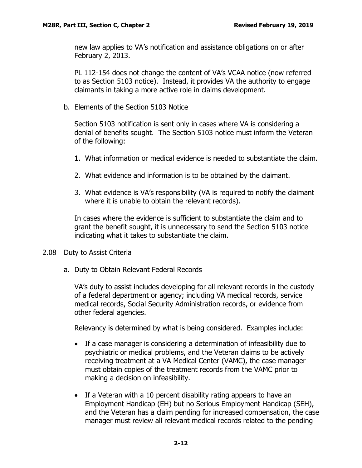new law applies to VA's notification and assistance obligations on or after February 2, 2013.

PL 112-154 does not change the content of VA's VCAA notice (now referred to as Section 5103 notice). Instead, it provides VA the authority to engage claimants in taking a more active role in claims development.

<span id="page-12-0"></span>b. Elements of the Section 5103 Notice

Section 5103 notification is sent only in cases where VA is considering a denial of benefits sought. The Section 5103 notice must inform the Veteran of the following:

- 1. What information or medical evidence is needed to substantiate the claim.
- 2. What evidence and information is to be obtained by the claimant.
- 3. What evidence is VA's responsibility (VA is required to notify the claimant where it is unable to obtain the relevant records).

In cases where the evidence is sufficient to substantiate the claim and to grant the benefit sought, it is unnecessary to send the Section 5103 notice indicating what it takes to substantiate the claim.

- <span id="page-12-2"></span><span id="page-12-1"></span>2.08 Duty to Assist Criteria
	- a. Duty to Obtain Relevant Federal Records

VA's duty to assist includes developing for all relevant records in the custody of a federal department or agency; including VA medical records, service medical records, Social Security Administration records, or evidence from other federal agencies.

Relevancy is determined by what is being considered. Examples include:

- If a case manager is considering a determination of infeasibility due to psychiatric or medical problems, and the Veteran claims to be actively receiving treatment at a VA Medical Center (VAMC), the case manager must obtain copies of the treatment records from the VAMC prior to making a decision on infeasibility.
- If a Veteran with a 10 percent disability rating appears to have an Employment Handicap (EH) but no Serious Employment Handicap (SEH), and the Veteran has a claim pending for increased compensation, the case manager must review all relevant medical records related to the pending